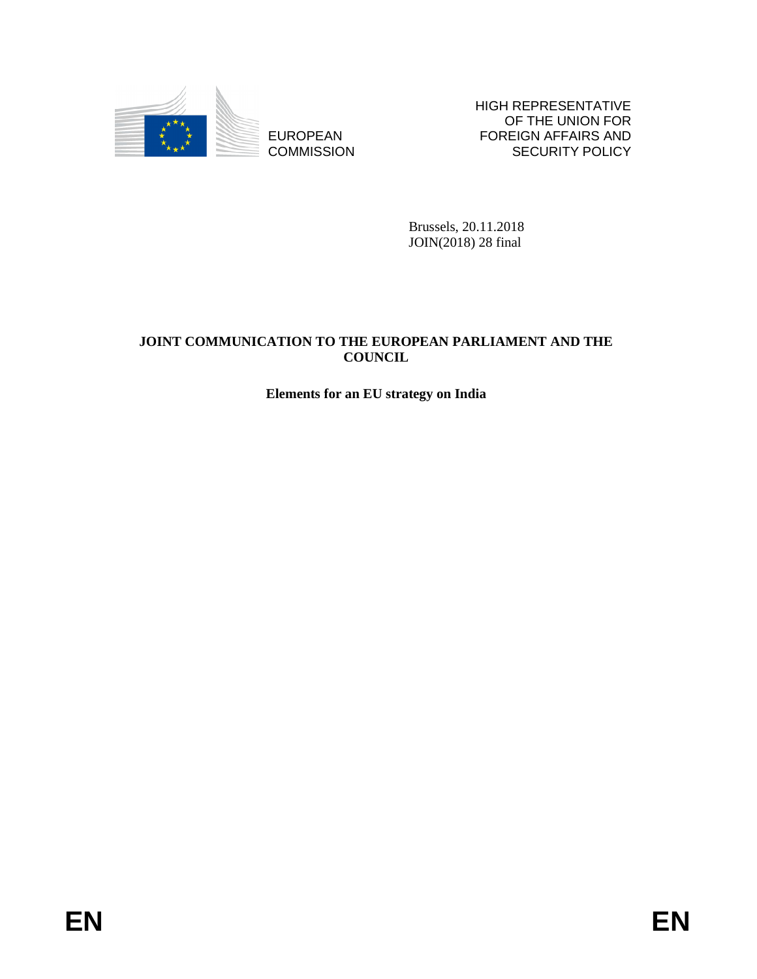

EUROPEAN **COMMISSION**  HIGH REPRESENTATIVE OF THE UNION FOR FOREIGN AFFAIRS AND SECURITY POLICY

Brussels, 20.11.2018 JOIN(2018) 28 final

# **JOINT COMMUNICATION TO THE EUROPEAN PARLIAMENT AND THE COUNCIL**

**Elements for an EU strategy on India**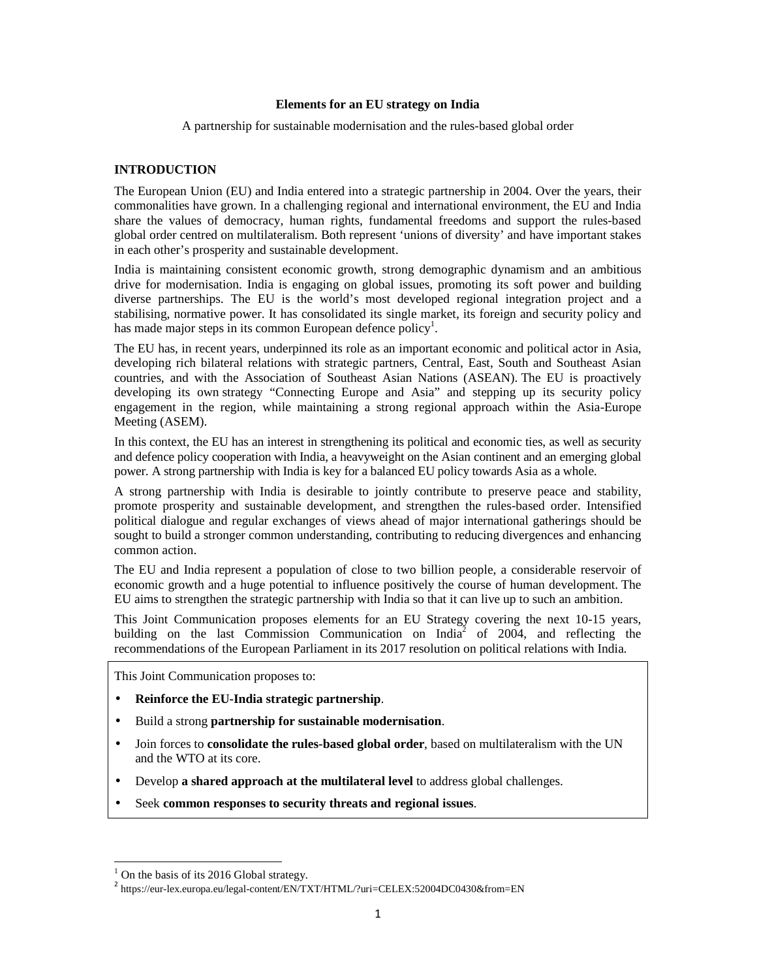#### **Elements for an EU strategy on India**

A partnership for sustainable modernisation and the rules-based global order

### **INTRODUCTION**

The European Union (EU) and India entered into a strategic partnership in 2004. Over the years, their commonalities have grown. In a challenging regional and international environment, the EU and India share the values of democracy, human rights, fundamental freedoms and support the rules-based global order centred on multilateralism. Both represent 'unions of diversity' and have important stakes in each other's prosperity and sustainable development.

India is maintaining consistent economic growth, strong demographic dynamism and an ambitious drive for modernisation. India is engaging on global issues, promoting its soft power and building diverse partnerships. The EU is the world's most developed regional integration project and a stabilising, normative power. It has consolidated its single market, its foreign and security policy and has made major steps in its common European defence policy<sup>1</sup>.

The EU has, in recent years, underpinned its role as an important economic and political actor in Asia, developing rich bilateral relations with strategic partners, Central, East, South and Southeast Asian countries, and with the Association of Southeast Asian Nations (ASEAN). The EU is proactively developing its own strategy "Connecting Europe and Asia" and stepping up its security policy engagement in the region, while maintaining a strong regional approach within the Asia-Europe Meeting (ASEM).

In this context, the EU has an interest in strengthening its political and economic ties, as well as security and defence policy cooperation with India, a heavyweight on the Asian continent and an emerging global power. A strong partnership with India is key for a balanced EU policy towards Asia as a whole.

A strong partnership with India is desirable to jointly contribute to preserve peace and stability, promote prosperity and sustainable development, and strengthen the rules-based order. Intensified political dialogue and regular exchanges of views ahead of major international gatherings should be sought to build a stronger common understanding, contributing to reducing divergences and enhancing common action.

The EU and India represent a population of close to two billion people, a considerable reservoir of economic growth and a huge potential to influence positively the course of human development. The EU aims to strengthen the strategic partnership with India so that it can live up to such an ambition.

This Joint Communication proposes elements for an EU Strategy covering the next 10-15 years, building on the last Commission Communication on India<sup>2</sup> of 2004, and reflecting the recommendations of the European Parliament in its 2017 resolution on political relations with India.

This Joint Communication proposes to:

- **Reinforce the EU-India strategic partnership**.
- Build a strong **partnership for sustainable modernisation**.
- Join forces to **consolidate the rules-based global order**, based on multilateralism with the UN and the WTO at its core.
- Develop **a shared approach at the multilateral level** to address global challenges.
- Seek **common responses to security threats and regional issues**.

<sup>&</sup>lt;sup>1</sup> On the basis of its 2016 Global strategy.

<sup>2</sup> https://eur-lex.europa.eu/legal-content/EN/TXT/HTML/?uri=CELEX:52004DC0430&from=EN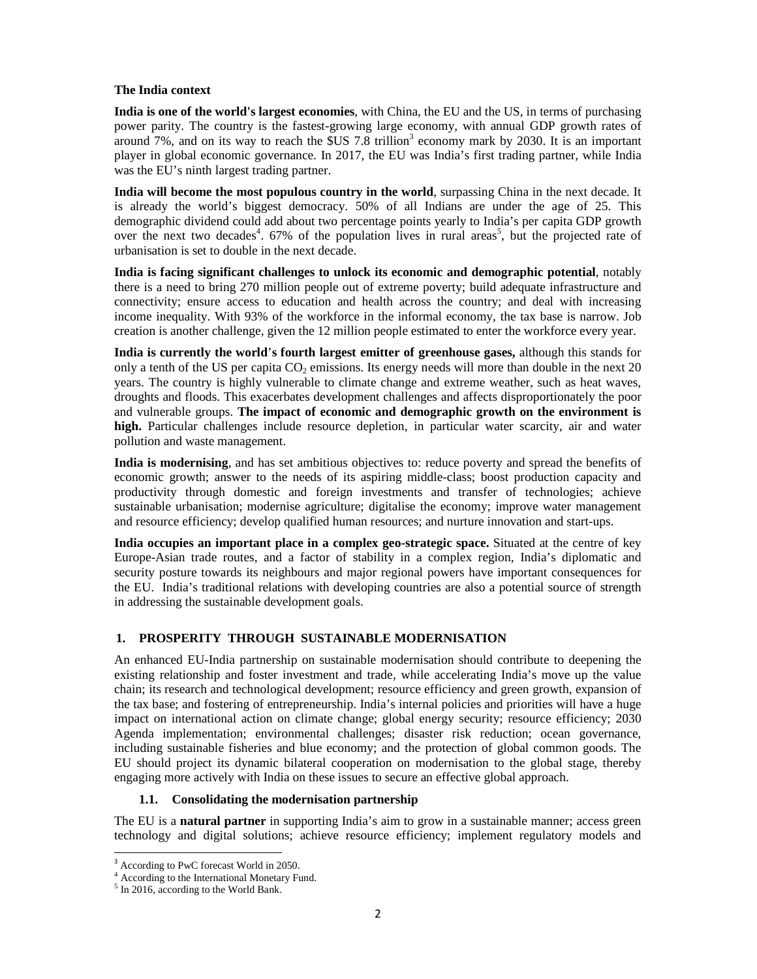#### **The India context**

**India is one of the world's largest economies**, with China, the EU and the US, in terms of purchasing power parity. The country is the fastest-growing large economy, with annual GDP growth rates of around  $7\%$ , and on its way to reach the  $SUS 7.8$  trillion<sup>3</sup> economy mark by 2030. It is an important player in global economic governance. In 2017, the EU was India's first trading partner, while India was the EU's ninth largest trading partner.

**India will become the most populous country in the world**, surpassing China in the next decade. It is already the world's biggest democracy. 50% of all Indians are under the age of 25. This demographic dividend could add about two percentage points yearly to India's per capita GDP growth over the next two decades<sup>4</sup>. 67% of the population lives in rural areas<sup>5</sup>, but the projected rate of urbanisation is set to double in the next decade.

**India is facing significant challenges to unlock its economic and demographic potential**, notably there is a need to bring 270 million people out of extreme poverty; build adequate infrastructure and connectivity; ensure access to education and health across the country; and deal with increasing income inequality. With 93% of the workforce in the informal economy, the tax base is narrow. Job creation is another challenge, given the 12 million people estimated to enter the workforce every year.

**India is currently the world**'**s fourth largest emitter of greenhouse gases,** although this stands for only a tenth of the US per capita  $CO<sub>2</sub>$  emissions. Its energy needs will more than double in the next 20 years. The country is highly vulnerable to climate change and extreme weather, such as heat waves, droughts and floods. This exacerbates development challenges and affects disproportionately the poor and vulnerable groups. **The impact of economic and demographic growth on the environment is high.** Particular challenges include resource depletion, in particular water scarcity, air and water pollution and waste management.

**India is modernising**, and has set ambitious objectives to: reduce poverty and spread the benefits of economic growth; answer to the needs of its aspiring middle-class; boost production capacity and productivity through domestic and foreign investments and transfer of technologies; achieve sustainable urbanisation; modernise agriculture; digitalise the economy; improve water management and resource efficiency; develop qualified human resources; and nurture innovation and start-ups.

**India occupies an important place in a complex geo-strategic space.** Situated at the centre of key Europe-Asian trade routes, and a factor of stability in a complex region, India's diplomatic and security posture towards its neighbours and major regional powers have important consequences for the EU. India's traditional relations with developing countries are also a potential source of strength in addressing the sustainable development goals.

#### **1. PROSPERITY THROUGH SUSTAINABLE MODERNISATION**

An enhanced EU-India partnership on sustainable modernisation should contribute to deepening the existing relationship and foster investment and trade, while accelerating India's move up the value chain; its research and technological development; resource efficiency and green growth, expansion of the tax base; and fostering of entrepreneurship. India's internal policies and priorities will have a huge impact on international action on climate change; global energy security; resource efficiency; 2030 Agenda implementation; environmental challenges; disaster risk reduction; ocean governance, including sustainable fisheries and blue economy; and the protection of global common goods. The EU should project its dynamic bilateral cooperation on modernisation to the global stage, thereby engaging more actively with India on these issues to secure an effective global approach.

#### **1.1. Consolidating the modernisation partnership**

The EU is a **natural partner** in supporting India's aim to grow in a sustainable manner; access green technology and digital solutions; achieve resource efficiency; implement regulatory models and

<sup>&</sup>lt;sup>3</sup> According to PwC forecast World in 2050.

<sup>4</sup> According to the International Monetary Fund.

<sup>5</sup> In 2016, according to the World Bank.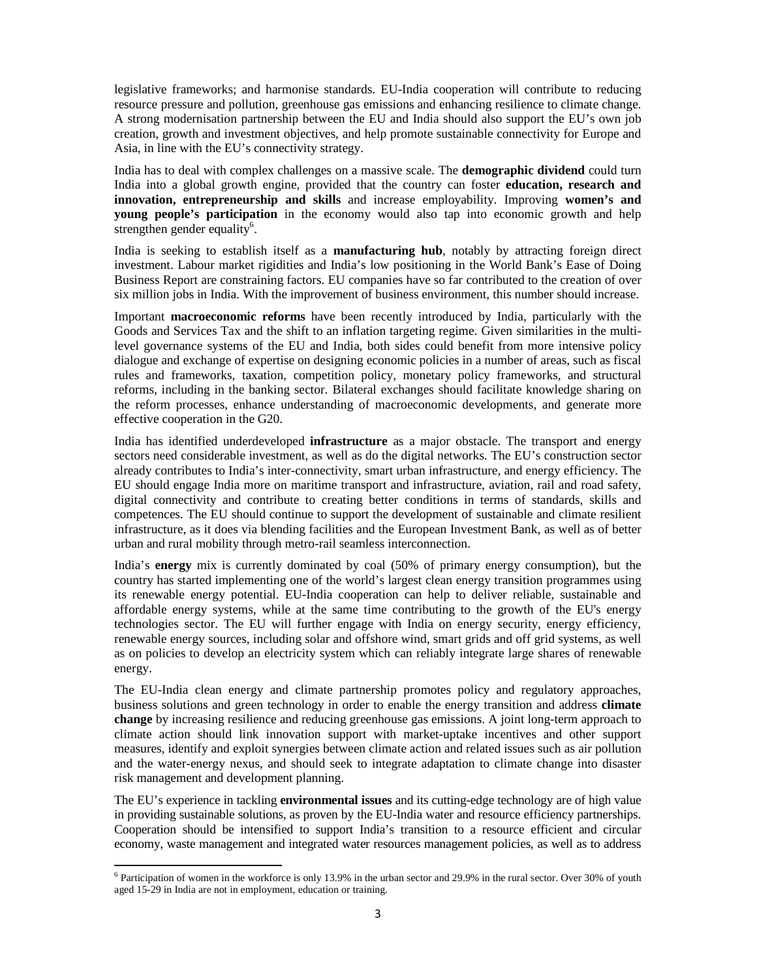legislative frameworks; and harmonise standards. EU-India cooperation will contribute to reducing resource pressure and pollution, greenhouse gas emissions and enhancing resilience to climate change. A strong modernisation partnership between the EU and India should also support the EU's own job creation, growth and investment objectives, and help promote sustainable connectivity for Europe and Asia, in line with the EU's connectivity strategy.

India has to deal with complex challenges on a massive scale. The **demographic dividend** could turn India into a global growth engine, provided that the country can foster **education, research and innovation, entrepreneurship and skills** and increase employability. Improving **women's and young people's participation** in the economy would also tap into economic growth and help strengthen gender equality<sup>6</sup>.

India is seeking to establish itself as a **manufacturing hub**, notably by attracting foreign direct investment. Labour market rigidities and India's low positioning in the World Bank's Ease of Doing Business Report are constraining factors. EU companies have so far contributed to the creation of over six million jobs in India. With the improvement of business environment, this number should increase.

Important **macroeconomic reforms** have been recently introduced by India, particularly with the Goods and Services Tax and the shift to an inflation targeting regime. Given similarities in the multilevel governance systems of the EU and India, both sides could benefit from more intensive policy dialogue and exchange of expertise on designing economic policies in a number of areas, such as fiscal rules and frameworks, taxation, competition policy, monetary policy frameworks, and structural reforms, including in the banking sector. Bilateral exchanges should facilitate knowledge sharing on the reform processes, enhance understanding of macroeconomic developments, and generate more effective cooperation in the G20.

India has identified underdeveloped **infrastructure** as a major obstacle. The transport and energy sectors need considerable investment, as well as do the digital networks. The EU's construction sector already contributes to India's inter-connectivity, smart urban infrastructure, and energy efficiency. The EU should engage India more on maritime transport and infrastructure, aviation, rail and road safety, digital connectivity and contribute to creating better conditions in terms of standards, skills and competences. The EU should continue to support the development of sustainable and climate resilient infrastructure, as it does via blending facilities and the European Investment Bank, as well as of better urban and rural mobility through metro-rail seamless interconnection.

India's **energy** mix is currently dominated by coal (50% of primary energy consumption), but the country has started implementing one of the world's largest clean energy transition programmes using its renewable energy potential. EU-India cooperation can help to deliver reliable, sustainable and affordable energy systems, while at the same time contributing to the growth of the EU's energy technologies sector. The EU will further engage with India on energy security, energy efficiency, renewable energy sources, including solar and offshore wind, smart grids and off grid systems, as well as on policies to develop an electricity system which can reliably integrate large shares of renewable energy.

The EU-India clean energy and climate partnership promotes policy and regulatory approaches, business solutions and green technology in order to enable the energy transition and address **climate change** by increasing resilience and reducing greenhouse gas emissions. A joint long-term approach to climate action should link innovation support with market-uptake incentives and other support measures, identify and exploit synergies between climate action and related issues such as air pollution and the water-energy nexus, and should seek to integrate adaptation to climate change into disaster risk management and development planning.

The EU's experience in tackling **environmental issues** and its cutting-edge technology are of high value in providing sustainable solutions, as proven by the EU-India water and resource efficiency partnerships. Cooperation should be intensified to support India's transition to a resource efficient and circular economy, waste management and integrated water resources management policies, as well as to address

 $\overline{a}$ 

<sup>&</sup>lt;sup>6</sup> Participation of women in the workforce is only 13.9% in the urban sector and 29.9% in the rural sector. Over 30% of youth aged 15-29 in India are not in employment, education or training.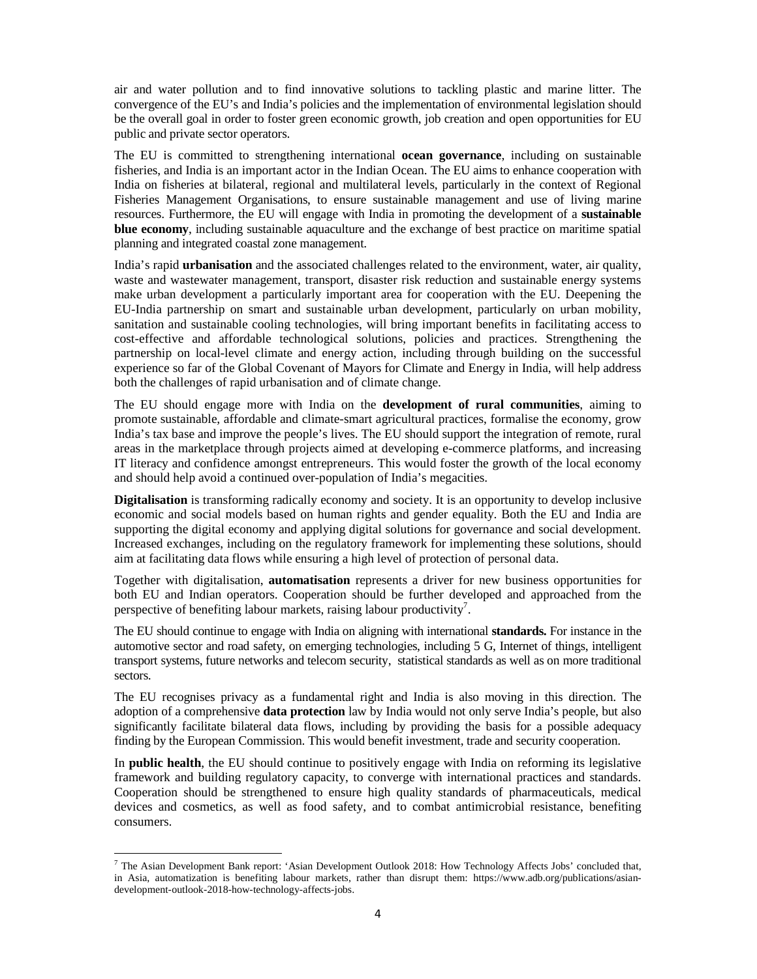air and water pollution and to find innovative solutions to tackling plastic and marine litter. The convergence of the EU's and India's policies and the implementation of environmental legislation should be the overall goal in order to foster green economic growth, job creation and open opportunities for EU public and private sector operators.

The EU is committed to strengthening international **ocean governance**, including on sustainable fisheries, and India is an important actor in the Indian Ocean. The EU aims to enhance cooperation with India on fisheries at bilateral, regional and multilateral levels, particularly in the context of Regional Fisheries Management Organisations, to ensure sustainable management and use of living marine resources. Furthermore, the EU will engage with India in promoting the development of a **sustainable blue economy**, including sustainable aquaculture and the exchange of best practice on maritime spatial planning and integrated coastal zone management.

India's rapid **urbanisation** and the associated challenges related to the environment, water, air quality, waste and wastewater management, transport, disaster risk reduction and sustainable energy systems make urban development a particularly important area for cooperation with the EU. Deepening the EU-India partnership on smart and sustainable urban development, particularly on urban mobility, sanitation and sustainable cooling technologies, will bring important benefits in facilitating access to cost-effective and affordable technological solutions, policies and practices. Strengthening the partnership on local-level climate and energy action, including through building on the successful experience so far of the Global Covenant of Mayors for Climate and Energy in India, will help address both the challenges of rapid urbanisation and of climate change.

The EU should engage more with India on the **development of rural communities**, aiming to promote sustainable, affordable and climate-smart agricultural practices, formalise the economy, grow India's tax base and improve the people's lives. The EU should support the integration of remote, rural areas in the marketplace through projects aimed at developing e-commerce platforms, and increasing IT literacy and confidence amongst entrepreneurs. This would foster the growth of the local economy and should help avoid a continued over-population of India's megacities.

**Digitalisation** is transforming radically economy and society. It is an opportunity to develop inclusive economic and social models based on human rights and gender equality. Both the EU and India are supporting the digital economy and applying digital solutions for governance and social development. Increased exchanges, including on the regulatory framework for implementing these solutions, should aim at facilitating data flows while ensuring a high level of protection of personal data.

Together with digitalisation, **automatisation** represents a driver for new business opportunities for both EU and Indian operators. Cooperation should be further developed and approached from the perspective of benefiting labour markets, raising labour productivity<sup>7</sup>.

The EU should continue to engage with India on aligning with international **standards.** For instance in the automotive sector and road safety, on emerging technologies, including 5 G, Internet of things, intelligent transport systems, future networks and telecom security, statistical standards as well as on more traditional sectors.

The EU recognises privacy as a fundamental right and India is also moving in this direction. The adoption of a comprehensive **data protection** law by India would not only serve India's people, but also significantly facilitate bilateral data flows, including by providing the basis for a possible adequacy finding by the European Commission. This would benefit investment, trade and security cooperation.

In **public health**, the EU should continue to positively engage with India on reforming its legislative framework and building regulatory capacity, to converge with international practices and standards. Cooperation should be strengthened to ensure high quality standards of pharmaceuticals, medical devices and cosmetics, as well as food safety, and to combat antimicrobial resistance, benefiting consumers.

<sup>&</sup>lt;sup>7</sup> The Asian Development Bank report: 'Asian Development Outlook 2018: How Technology Affects Jobs' concluded that, in Asia, automatization is benefiting labour markets, rather than disrupt them: https://www.adb.org/publications/asiandevelopment-outlook-2018-how-technology-affects-jobs.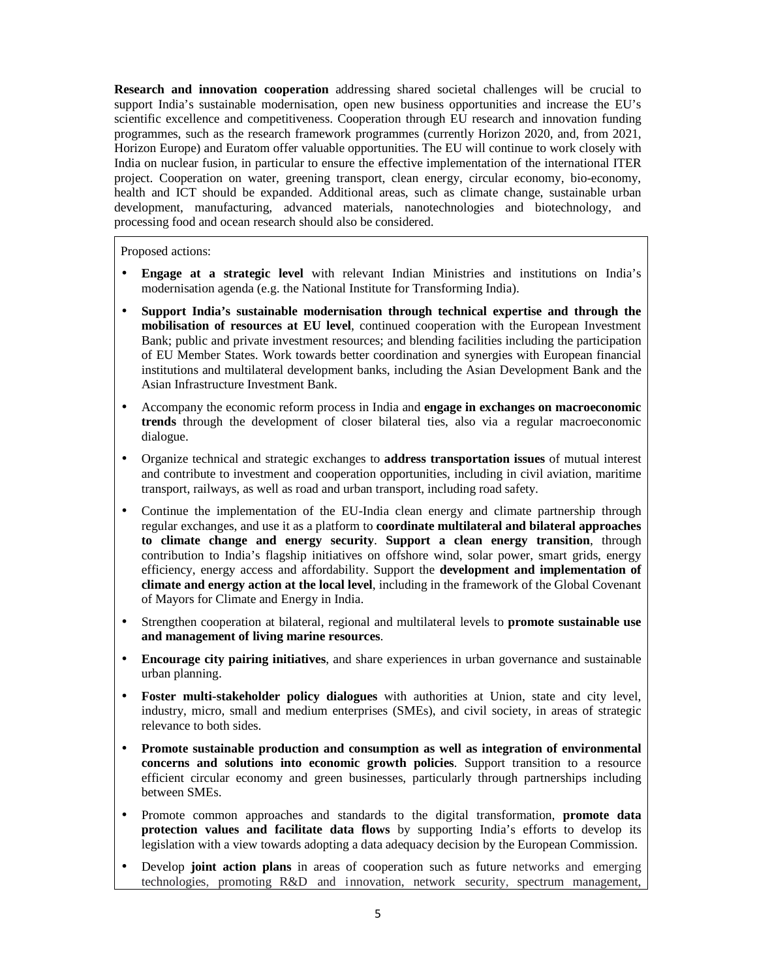**Research and innovation cooperation** addressing shared societal challenges will be crucial to support India's sustainable modernisation, open new business opportunities and increase the EU's scientific excellence and competitiveness. Cooperation through EU research and innovation funding programmes, such as the research framework programmes (currently Horizon 2020, and, from 2021, Horizon Europe) and Euratom offer valuable opportunities. The EU will continue to work closely with India on nuclear fusion, in particular to ensure the effective implementation of the international ITER project. Cooperation on water, greening transport, clean energy, circular economy, bio-economy, health and ICT should be expanded. Additional areas, such as climate change, sustainable urban development, manufacturing, advanced materials, nanotechnologies and biotechnology, and processing food and ocean research should also be considered.

Proposed actions:

- **Engage at a strategic level** with relevant Indian Ministries and institutions on India's modernisation agenda (e.g. the National Institute for Transforming India).
- **Support India's sustainable modernisation through technical expertise and through the mobilisation of resources at EU level**, continued cooperation with the European Investment Bank; public and private investment resources; and blending facilities including the participation of EU Member States. Work towards better coordination and synergies with European financial institutions and multilateral development banks, including the Asian Development Bank and the Asian Infrastructure Investment Bank.
- Accompany the economic reform process in India and **engage in exchanges on macroeconomic trends** through the development of closer bilateral ties, also via a regular macroeconomic dialogue.
- Organize technical and strategic exchanges to **address transportation issues** of mutual interest and contribute to investment and cooperation opportunities, including in civil aviation, maritime transport, railways, as well as road and urban transport, including road safety.
- Continue the implementation of the EU-India clean energy and climate partnership through regular exchanges, and use it as a platform to **coordinate multilateral and bilateral approaches to climate change and energy security**. **Support a clean energy transition**, through contribution to India's flagship initiatives on offshore wind, solar power, smart grids, energy efficiency, energy access and affordability. Support the **development and implementation of climate and energy action at the local level**, including in the framework of the Global Covenant of Mayors for Climate and Energy in India.
- Strengthen cooperation at bilateral, regional and multilateral levels to **promote sustainable use and management of living marine resources**.
- **Encourage city pairing initiatives**, and share experiences in urban governance and sustainable urban planning.
- **Foster multi-stakeholder policy dialogues** with authorities at Union, state and city level, industry, micro, small and medium enterprises (SMEs), and civil society, in areas of strategic relevance to both sides.
- **Promote sustainable production and consumption as well as integration of environmental concerns and solutions into economic growth policies**. Support transition to a resource efficient circular economy and green businesses, particularly through partnerships including between SMEs.
- Promote common approaches and standards to the digital transformation, **promote data protection values and facilitate data flows** by supporting India's efforts to develop its legislation with a view towards adopting a data adequacy decision by the European Commission.
- Develop **joint action plans** in areas of cooperation such as future networks and emerging technologies, promoting R&D and innovation, network security, spectrum management,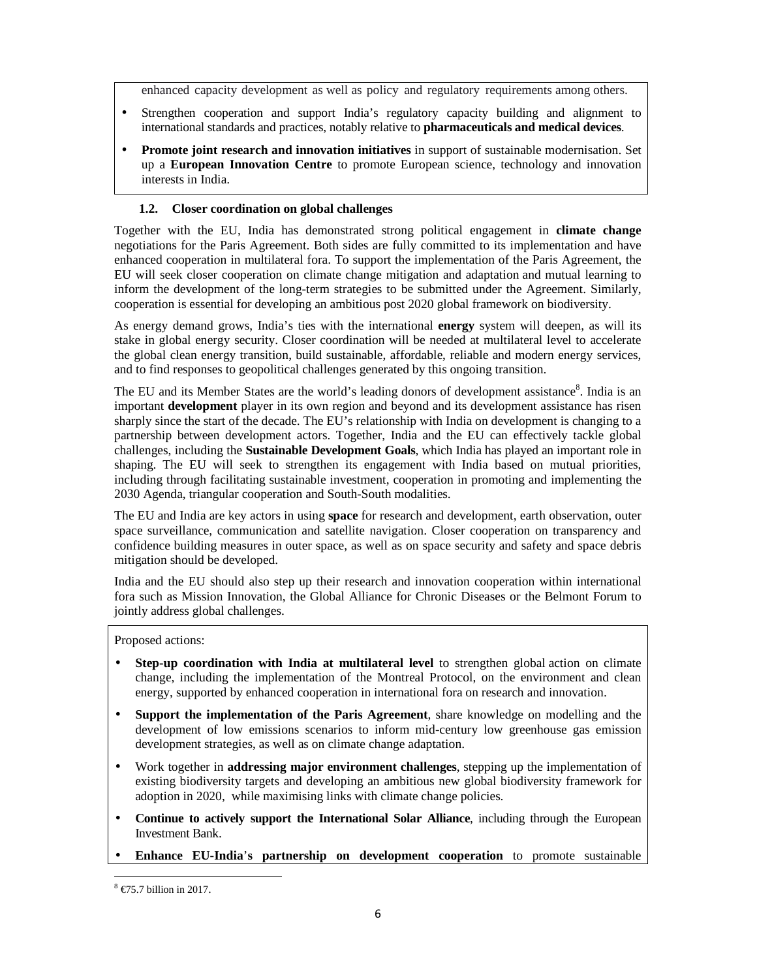enhanced capacity development as well as policy and regulatory requirements among others.

- Strengthen cooperation and support India's regulatory capacity building and alignment to international standards and practices, notably relative to **pharmaceuticals and medical devices**.
- **Promote joint research and innovation initiatives** in support of sustainable modernisation. Set up a **European Innovation Centre** to promote European science, technology and innovation interests in India.

### **1.2. Closer coordination on global challenges**

Together with the EU, India has demonstrated strong political engagement in **climate change** negotiations for the Paris Agreement. Both sides are fully committed to its implementation and have enhanced cooperation in multilateral fora. To support the implementation of the Paris Agreement, the EU will seek closer cooperation on climate change mitigation and adaptation and mutual learning to inform the development of the long-term strategies to be submitted under the Agreement. Similarly, cooperation is essential for developing an ambitious post 2020 global framework on biodiversity.

As energy demand grows, India's ties with the international **energy** system will deepen, as will its stake in global energy security. Closer coordination will be needed at multilateral level to accelerate the global clean energy transition, build sustainable, affordable, reliable and modern energy services, and to find responses to geopolitical challenges generated by this ongoing transition.

The EU and its Member States are the world's leading donors of development assistance<sup>8</sup>. India is an important **development** player in its own region and beyond and its development assistance has risen sharply since the start of the decade. The EU's relationship with India on development is changing to a partnership between development actors. Together, India and the EU can effectively tackle global challenges, including the **Sustainable Development Goals**, which India has played an important role in shaping. The EU will seek to strengthen its engagement with India based on mutual priorities, including through facilitating sustainable investment, cooperation in promoting and implementing the 2030 Agenda, triangular cooperation and South-South modalities.

The EU and India are key actors in using **space** for research and development, earth observation, outer space surveillance, communication and satellite navigation. Closer cooperation on transparency and confidence building measures in outer space, as well as on space security and safety and space debris mitigation should be developed.

India and the EU should also step up their research and innovation cooperation within international fora such as Mission Innovation, the Global Alliance for Chronic Diseases or the Belmont Forum to jointly address global challenges.

Proposed actions:

- **Step-up coordination with India at multilateral level** to strengthen global action on climate change, including the implementation of the Montreal Protocol, on the environment and clean energy, supported by enhanced cooperation in international fora on research and innovation.
- **Support the implementation of the Paris Agreement**, share knowledge on modelling and the development of low emissions scenarios to inform mid-century low greenhouse gas emission development strategies, as well as on climate change adaptation.
- Work together in **addressing major environment challenges**, stepping up the implementation of existing biodiversity targets and developing an ambitious new global biodiversity framework for adoption in 2020, while maximising links with climate change policies.
- **Continue to actively support the International Solar Alliance**, including through the European Investment Bank.
- **Enhance EU-India**'**s partnership on development cooperation** to promote sustainable

 $8 \in 75.7$  billion in 2017.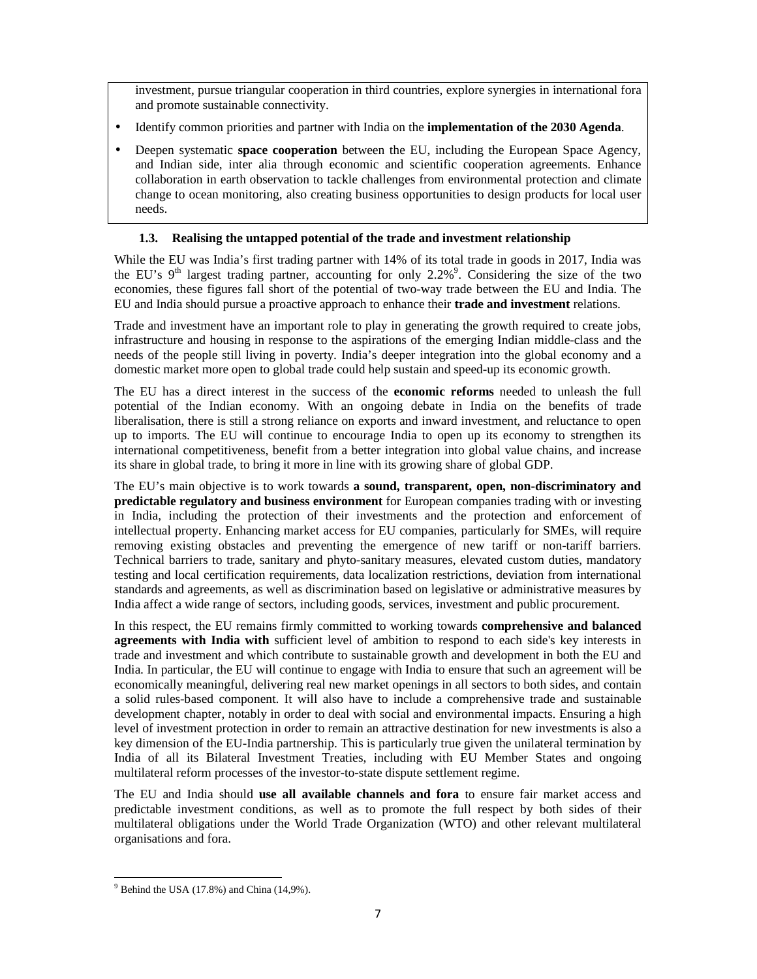investment, pursue triangular cooperation in third countries, explore synergies in international fora and promote sustainable connectivity.

- Identify common priorities and partner with India on the **implementation of the 2030 Agenda**.
- Deepen systematic **space cooperation** between the EU, including the European Space Agency, and Indian side, inter alia through economic and scientific cooperation agreements. Enhance collaboration in earth observation to tackle challenges from environmental protection and climate change to ocean monitoring, also creating business opportunities to design products for local user needs.

### **1.3. Realising the untapped potential of the trade and investment relationship**

While the EU was India's first trading partner with 14% of its total trade in goods in 2017, India was the EU's  $9<sup>th</sup>$  largest trading partner, accounting for only 2.2%<sup>9</sup>. Considering the size of the two economies, these figures fall short of the potential of two-way trade between the EU and India. The EU and India should pursue a proactive approach to enhance their **trade and investment** relations.

Trade and investment have an important role to play in generating the growth required to create jobs, infrastructure and housing in response to the aspirations of the emerging Indian middle-class and the needs of the people still living in poverty. India's deeper integration into the global economy and a domestic market more open to global trade could help sustain and speed-up its economic growth.

The EU has a direct interest in the success of the **economic reforms** needed to unleash the full potential of the Indian economy. With an ongoing debate in India on the benefits of trade liberalisation, there is still a strong reliance on exports and inward investment, and reluctance to open up to imports. The EU will continue to encourage India to open up its economy to strengthen its international competitiveness, benefit from a better integration into global value chains, and increase its share in global trade, to bring it more in line with its growing share of global GDP.

The EU's main objective is to work towards **a sound, transparent, open, non-discriminatory and predictable regulatory and business environment** for European companies trading with or investing in India, including the protection of their investments and the protection and enforcement of intellectual property. Enhancing market access for EU companies, particularly for SMEs, will require removing existing obstacles and preventing the emergence of new tariff or non-tariff barriers. Technical barriers to trade, sanitary and phyto-sanitary measures, elevated custom duties, mandatory testing and local certification requirements, data localization restrictions, deviation from international standards and agreements, as well as discrimination based on legislative or administrative measures by India affect a wide range of sectors, including goods, services, investment and public procurement.

In this respect, the EU remains firmly committed to working towards **comprehensive and balanced agreements with India with** sufficient level of ambition to respond to each side's key interests in trade and investment and which contribute to sustainable growth and development in both the EU and India. In particular, the EU will continue to engage with India to ensure that such an agreement will be economically meaningful, delivering real new market openings in all sectors to both sides, and contain a solid rules-based component. It will also have to include a comprehensive trade and sustainable development chapter, notably in order to deal with social and environmental impacts. Ensuring a high level of investment protection in order to remain an attractive destination for new investments is also a key dimension of the EU-India partnership. This is particularly true given the unilateral termination by India of all its Bilateral Investment Treaties, including with EU Member States and ongoing multilateral reform processes of the investor-to-state dispute settlement regime.

The EU and India should **use all available channels and fora** to ensure fair market access and predictable investment conditions, as well as to promote the full respect by both sides of their multilateral obligations under the World Trade Organization (WTO) and other relevant multilateral organisations and fora.

 $\overline{a}$ 

 $9^9$  Behind the USA (17.8%) and China (14,9%).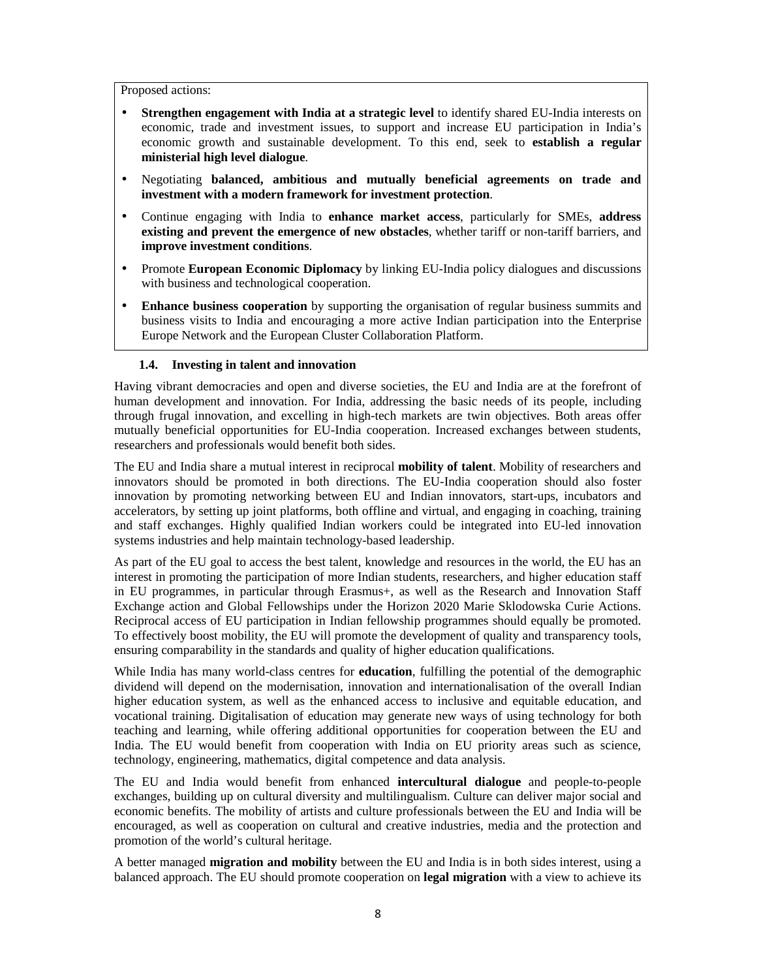Proposed actions:

- **Strengthen engagement with India at a strategic level** to identify shared EU-India interests on economic, trade and investment issues, to support and increase EU participation in India's economic growth and sustainable development. To this end, seek to **establish a regular ministerial high level dialogue**.
- Negotiating **balanced, ambitious and mutually beneficial agreements on trade and investment with a modern framework for investment protection**.
- Continue engaging with India to **enhance market access**, particularly for SMEs, **address existing and prevent the emergence of new obstacles**, whether tariff or non-tariff barriers, and **improve investment conditions**.
- Promote **European Economic Diplomacy** by linking EU-India policy dialogues and discussions with business and technological cooperation.
- **Enhance business cooperation** by supporting the organisation of regular business summits and business visits to India and encouraging a more active Indian participation into the Enterprise Europe Network and the European Cluster Collaboration Platform.

#### **1.4. Investing in talent and innovation**

Having vibrant democracies and open and diverse societies, the EU and India are at the forefront of human development and innovation. For India, addressing the basic needs of its people, including through frugal innovation, and excelling in high-tech markets are twin objectives. Both areas offer mutually beneficial opportunities for EU-India cooperation. Increased exchanges between students, researchers and professionals would benefit both sides.

The EU and India share a mutual interest in reciprocal **mobility of talent**. Mobility of researchers and innovators should be promoted in both directions. The EU-India cooperation should also foster innovation by promoting networking between EU and Indian innovators, start-ups, incubators and accelerators, by setting up joint platforms, both offline and virtual, and engaging in coaching, training and staff exchanges. Highly qualified Indian workers could be integrated into EU-led innovation systems industries and help maintain technology-based leadership.

As part of the EU goal to access the best talent, knowledge and resources in the world, the EU has an interest in promoting the participation of more Indian students, researchers, and higher education staff in EU programmes, in particular through Erasmus+, as well as the Research and Innovation Staff Exchange action and Global Fellowships under the Horizon 2020 Marie Sklodowska Curie Actions. Reciprocal access of EU participation in Indian fellowship programmes should equally be promoted. To effectively boost mobility, the EU will promote the development of quality and transparency tools, ensuring comparability in the standards and quality of higher education qualifications.

While India has many world-class centres for **education**, fulfilling the potential of the demographic dividend will depend on the modernisation, innovation and internationalisation of the overall Indian higher education system, as well as the enhanced access to inclusive and equitable education, and vocational training. Digitalisation of education may generate new ways of using technology for both teaching and learning, while offering additional opportunities for cooperation between the EU and India. The EU would benefit from cooperation with India on EU priority areas such as science, technology, engineering, mathematics, digital competence and data analysis.

The EU and India would benefit from enhanced **intercultural dialogue** and people-to-people exchanges, building up on cultural diversity and multilingualism. Culture can deliver major social and economic benefits. The mobility of artists and culture professionals between the EU and India will be encouraged, as well as cooperation on cultural and creative industries, media and the protection and promotion of the world's cultural heritage.

A better managed **migration and mobility** between the EU and India is in both sides interest, using a balanced approach. The EU should promote cooperation on **legal migration** with a view to achieve its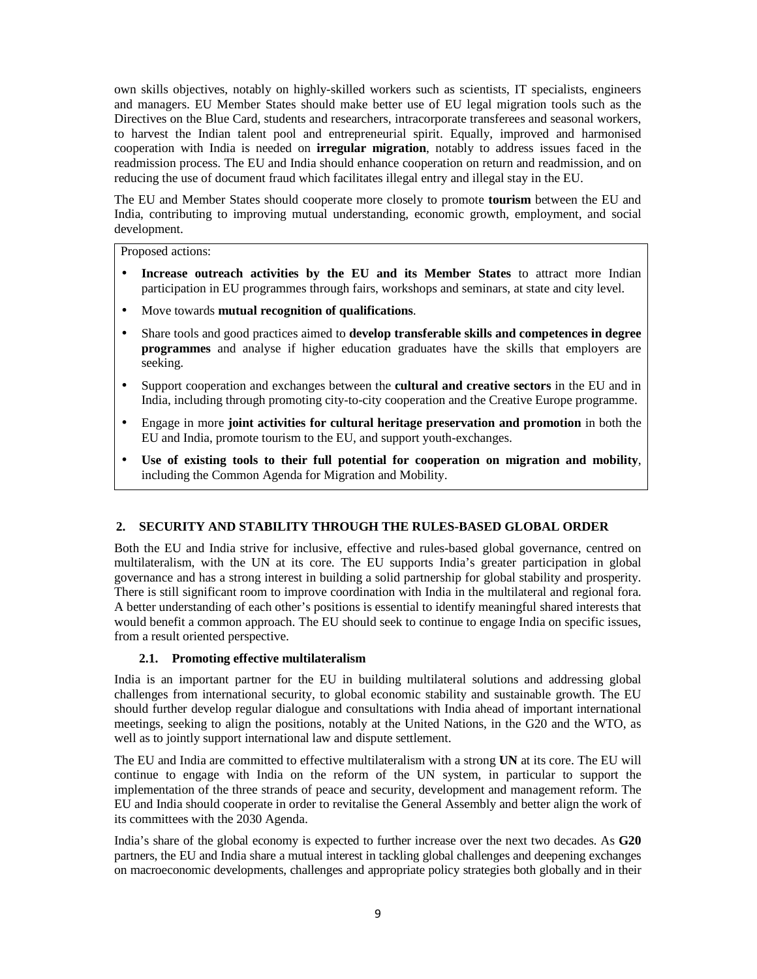own skills objectives, notably on highly-skilled workers such as scientists, IT specialists, engineers and managers. EU Member States should make better use of EU legal migration tools such as the Directives on the Blue Card, students and researchers, intracorporate transferees and seasonal workers, to harvest the Indian talent pool and entrepreneurial spirit. Equally, improved and harmonised cooperation with India is needed on **irregular migration**, notably to address issues faced in the readmission process. The EU and India should enhance cooperation on return and readmission, and on reducing the use of document fraud which facilitates illegal entry and illegal stay in the EU.

The EU and Member States should cooperate more closely to promote **tourism** between the EU and India, contributing to improving mutual understanding, economic growth, employment, and social development.

Proposed actions:

- **Increase outreach activities by the EU and its Member States** to attract more Indian participation in EU programmes through fairs, workshops and seminars, at state and city level.
- Move towards **mutual recognition of qualifications**.
- Share tools and good practices aimed to **develop transferable skills and competences in degree programmes** and analyse if higher education graduates have the skills that employers are seeking.
- Support cooperation and exchanges between the **cultural and creative sectors** in the EU and in India, including through promoting city-to-city cooperation and the Creative Europe programme.
- Engage in more **joint activities for cultural heritage preservation and promotion** in both the EU and India, promote tourism to the EU, and support youth-exchanges.
- **Use of existing tools to their full potential for cooperation on migration and mobility**, including the Common Agenda for Migration and Mobility.

# **2. SECURITY AND STABILITY THROUGH THE RULES-BASED GLOBAL ORDER**

Both the EU and India strive for inclusive, effective and rules-based global governance, centred on multilateralism, with the UN at its core. The EU supports India's greater participation in global governance and has a strong interest in building a solid partnership for global stability and prosperity. There is still significant room to improve coordination with India in the multilateral and regional fora. A better understanding of each other's positions is essential to identify meaningful shared interests that would benefit a common approach. The EU should seek to continue to engage India on specific issues, from a result oriented perspective.

### **2.1. Promoting effective multilateralism**

India is an important partner for the EU in building multilateral solutions and addressing global challenges from international security, to global economic stability and sustainable growth. The EU should further develop regular dialogue and consultations with India ahead of important international meetings, seeking to align the positions, notably at the United Nations, in the G20 and the WTO, as well as to jointly support international law and dispute settlement.

The EU and India are committed to effective multilateralism with a strong **UN** at its core. The EU will continue to engage with India on the reform of the UN system, in particular to support the implementation of the three strands of peace and security, development and management reform. The EU and India should cooperate in order to revitalise the General Assembly and better align the work of its committees with the 2030 Agenda.

India's share of the global economy is expected to further increase over the next two decades. As **G20** partners, the EU and India share a mutual interest in tackling global challenges and deepening exchanges on macroeconomic developments, challenges and appropriate policy strategies both globally and in their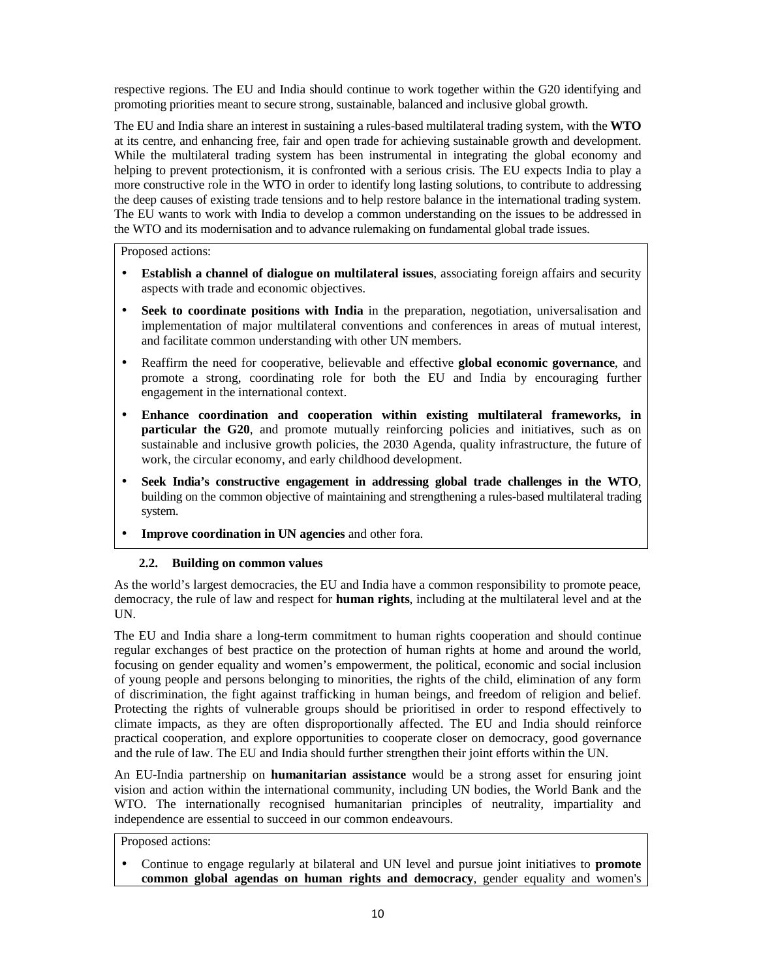respective regions. The EU and India should continue to work together within the G20 identifying and promoting priorities meant to secure strong, sustainable, balanced and inclusive global growth.

The EU and India share an interest in sustaining a rules-based multilateral trading system, with the **WTO** at its centre, and enhancing free, fair and open trade for achieving sustainable growth and development. While the multilateral trading system has been instrumental in integrating the global economy and helping to prevent protectionism, it is confronted with a serious crisis. The EU expects India to play a more constructive role in the WTO in order to identify long lasting solutions, to contribute to addressing the deep causes of existing trade tensions and to help restore balance in the international trading system. The EU wants to work with India to develop a common understanding on the issues to be addressed in the WTO and its modernisation and to advance rulemaking on fundamental global trade issues.

Proposed actions:

- **Establish a channel of dialogue on multilateral issues**, associating foreign affairs and security aspects with trade and economic objectives.
- **Seek to coordinate positions with India** in the preparation, negotiation, universalisation and implementation of major multilateral conventions and conferences in areas of mutual interest, and facilitate common understanding with other UN members.
- Reaffirm the need for cooperative, believable and effective **global economic governance**, and promote a strong, coordinating role for both the EU and India by encouraging further engagement in the international context.
- **Enhance coordination and cooperation within existing multilateral frameworks, in particular the G20**, and promote mutually reinforcing policies and initiatives, such as on sustainable and inclusive growth policies, the 2030 Agenda, quality infrastructure, the future of work, the circular economy, and early childhood development.
- **Seek India's constructive engagement in addressing global trade challenges in the WTO**, building on the common objective of maintaining and strengthening a rules-based multilateral trading system.
- **Improve coordination in UN agencies** and other fora.

#### **2.2. Building on common values**

As the world's largest democracies, the EU and India have a common responsibility to promote peace, democracy, the rule of law and respect for **human rights**, including at the multilateral level and at the UN.

The EU and India share a long-term commitment to human rights cooperation and should continue regular exchanges of best practice on the protection of human rights at home and around the world, focusing on gender equality and women's empowerment, the political, economic and social inclusion of young people and persons belonging to minorities, the rights of the child, elimination of any form of discrimination, the fight against trafficking in human beings, and freedom of religion and belief. Protecting the rights of vulnerable groups should be prioritised in order to respond effectively to climate impacts, as they are often disproportionally affected. The EU and India should reinforce practical cooperation, and explore opportunities to cooperate closer on democracy, good governance and the rule of law. The EU and India should further strengthen their joint efforts within the UN.

An EU-India partnership on **humanitarian assistance** would be a strong asset for ensuring joint vision and action within the international community, including UN bodies, the World Bank and the WTO. The internationally recognised humanitarian principles of neutrality, impartiality and independence are essential to succeed in our common endeavours.

Proposed actions:

• Continue to engage regularly at bilateral and UN level and pursue joint initiatives to **promote common global agendas on human rights and democracy**, gender equality and women's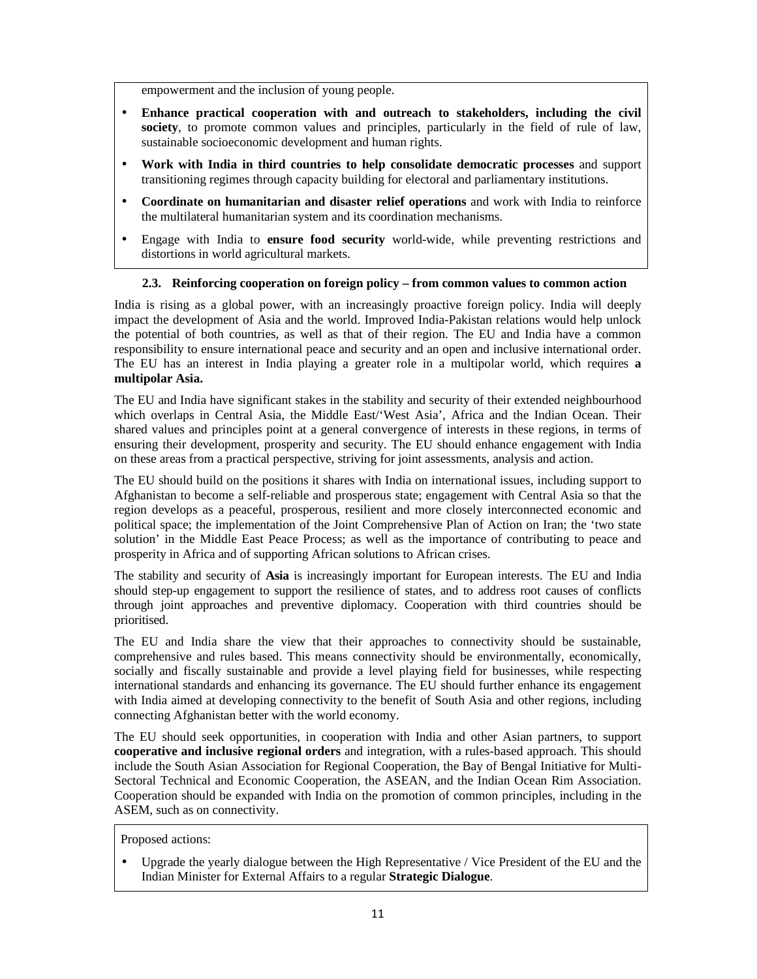empowerment and the inclusion of young people.

- **Enhance practical cooperation with and outreach to stakeholders, including the civil society**, to promote common values and principles, particularly in the field of rule of law, sustainable socioeconomic development and human rights.
- **Work with India in third countries to help consolidate democratic processes** and support transitioning regimes through capacity building for electoral and parliamentary institutions.
- **Coordinate on humanitarian and disaster relief operations** and work with India to reinforce the multilateral humanitarian system and its coordination mechanisms.
- Engage with India to **ensure food security** world-wide, while preventing restrictions and distortions in world agricultural markets.

### **2.3. Reinforcing cooperation on foreign policy – from common values to common action**

India is rising as a global power, with an increasingly proactive foreign policy. India will deeply impact the development of Asia and the world. Improved India-Pakistan relations would help unlock the potential of both countries, as well as that of their region. The EU and India have a common responsibility to ensure international peace and security and an open and inclusive international order. The EU has an interest in India playing a greater role in a multipolar world, which requires **a multipolar Asia.**

The EU and India have significant stakes in the stability and security of their extended neighbourhood which overlaps in Central Asia, the Middle East/'West Asia', Africa and the Indian Ocean. Their shared values and principles point at a general convergence of interests in these regions, in terms of ensuring their development, prosperity and security. The EU should enhance engagement with India on these areas from a practical perspective, striving for joint assessments, analysis and action.

The EU should build on the positions it shares with India on international issues, including support to Afghanistan to become a self-reliable and prosperous state; engagement with Central Asia so that the region develops as a peaceful, prosperous, resilient and more closely interconnected economic and political space; the implementation of the Joint Comprehensive Plan of Action on Iran; the 'two state solution' in the Middle East Peace Process; as well as the importance of contributing to peace and prosperity in Africa and of supporting African solutions to African crises.

The stability and security of **Asia** is increasingly important for European interests. The EU and India should step-up engagement to support the resilience of states, and to address root causes of conflicts through joint approaches and preventive diplomacy. Cooperation with third countries should be prioritised.

The EU and India share the view that their approaches to connectivity should be sustainable, comprehensive and rules based. This means connectivity should be environmentally, economically, socially and fiscally sustainable and provide a level playing field for businesses, while respecting international standards and enhancing its governance. The EU should further enhance its engagement with India aimed at developing connectivity to the benefit of South Asia and other regions, including connecting Afghanistan better with the world economy.

The EU should seek opportunities, in cooperation with India and other Asian partners, to support **cooperative and inclusive regional orders** and integration, with a rules-based approach. This should include the South Asian Association for Regional Cooperation, the Bay of Bengal Initiative for Multi-Sectoral Technical and Economic Cooperation, the ASEAN, and the Indian Ocean Rim Association. Cooperation should be expanded with India on the promotion of common principles, including in the ASEM, such as on connectivity.

Proposed actions:

• Upgrade the yearly dialogue between the High Representative / Vice President of the EU and the Indian Minister for External Affairs to a regular **Strategic Dialogue**.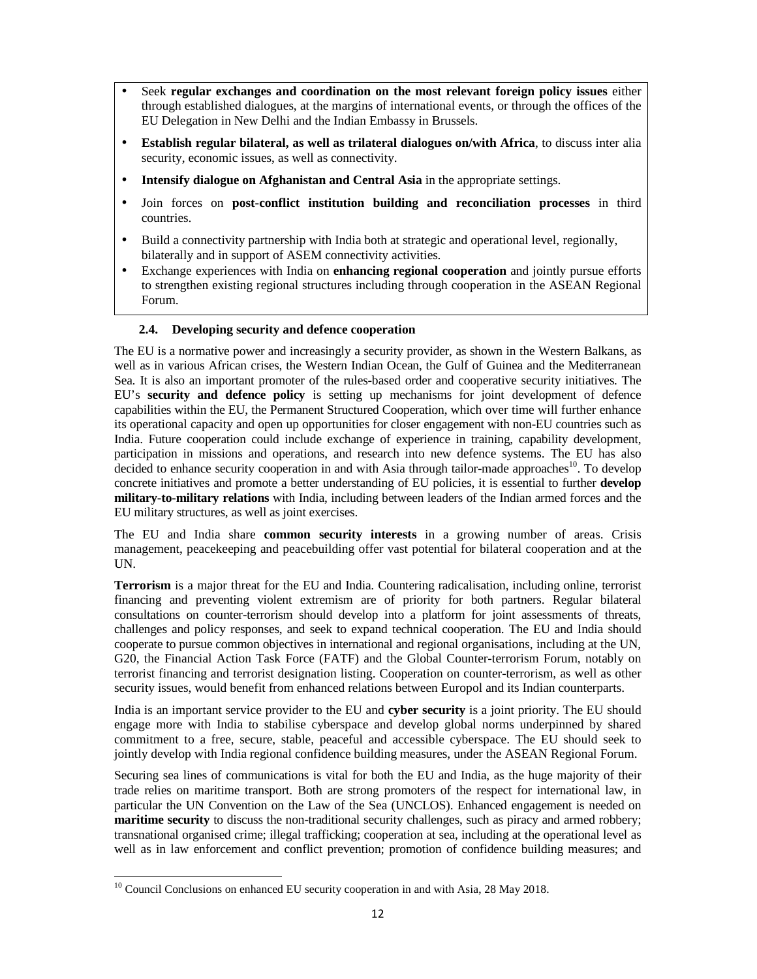- Seek **regular exchanges and coordination on the most relevant foreign policy issues** either through established dialogues, at the margins of international events, or through the offices of the EU Delegation in New Delhi and the Indian Embassy in Brussels.
- **Establish regular bilateral, as well as trilateral dialogues on/with Africa**, to discuss inter alia security, economic issues, as well as connectivity.
- **Intensify dialogue on Afghanistan and Central Asia** in the appropriate settings.
- Join forces on **post-conflict institution building and reconciliation processes** in third countries.
- Build a connectivity partnership with India both at strategic and operational level, regionally, bilaterally and in support of ASEM connectivity activities.
- Exchange experiences with India on **enhancing regional cooperation** and jointly pursue efforts to strengthen existing regional structures including through cooperation in the ASEAN Regional Forum.

### **2.4. Developing security and defence cooperation**

The EU is a normative power and increasingly a security provider, as shown in the Western Balkans, as well as in various African crises, the Western Indian Ocean, the Gulf of Guinea and the Mediterranean Sea. It is also an important promoter of the rules-based order and cooperative security initiatives. The EU's **security and defence policy** is setting up mechanisms for joint development of defence capabilities within the EU, the Permanent Structured Cooperation, which over time will further enhance its operational capacity and open up opportunities for closer engagement with non-EU countries such as India. Future cooperation could include exchange of experience in training, capability development, participation in missions and operations, and research into new defence systems. The EU has also decided to enhance security cooperation in and with Asia through tailor-made approaches<sup>10</sup>. To develop concrete initiatives and promote a better understanding of EU policies, it is essential to further **develop military-to-military relations** with India, including between leaders of the Indian armed forces and the EU military structures, as well as joint exercises.

The EU and India share **common security interests** in a growing number of areas. Crisis management, peacekeeping and peacebuilding offer vast potential for bilateral cooperation and at the UN.

**Terrorism** is a major threat for the EU and India. Countering radicalisation, including online, terrorist financing and preventing violent extremism are of priority for both partners. Regular bilateral consultations on counter-terrorism should develop into a platform for joint assessments of threats, challenges and policy responses, and seek to expand technical cooperation. The EU and India should cooperate to pursue common objectives in international and regional organisations, including at the UN, G20, the Financial Action Task Force (FATF) and the Global Counter-terrorism Forum, notably on terrorist financing and terrorist designation listing. Cooperation on counter-terrorism, as well as other security issues, would benefit from enhanced relations between Europol and its Indian counterparts.

India is an important service provider to the EU and **cyber security** is a joint priority. The EU should engage more with India to stabilise cyberspace and develop global norms underpinned by shared commitment to a free, secure, stable, peaceful and accessible cyberspace. The EU should seek to jointly develop with India regional confidence building measures, under the ASEAN Regional Forum.

Securing sea lines of communications is vital for both the EU and India, as the huge majority of their trade relies on maritime transport. Both are strong promoters of the respect for international law, in particular the UN Convention on the Law of the Sea (UNCLOS). Enhanced engagement is needed on **maritime security** to discuss the non-traditional security challenges, such as piracy and armed robbery; transnational organised crime; illegal trafficking; cooperation at sea, including at the operational level as well as in law enforcement and conflict prevention; promotion of confidence building measures; and

<sup>&</sup>lt;sup>10</sup> Council Conclusions on enhanced EU security cooperation in and with Asia, 28 May 2018.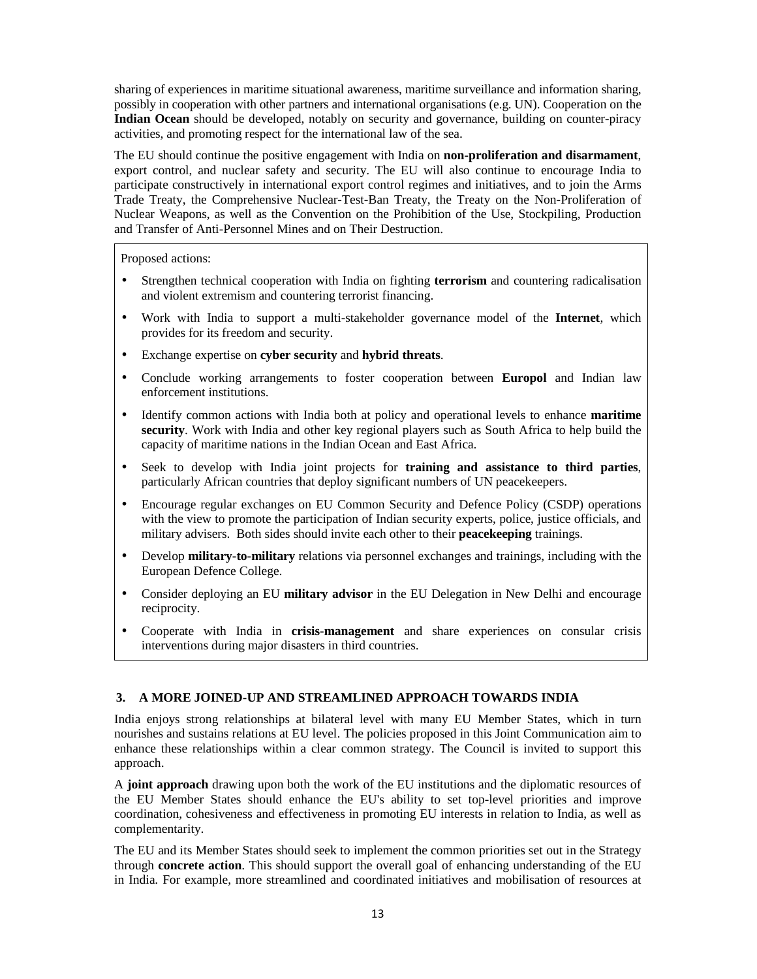sharing of experiences in maritime situational awareness, maritime surveillance and information sharing, possibly in cooperation with other partners and international organisations (e.g. UN). Cooperation on the **Indian Ocean** should be developed, notably on security and governance, building on counter-piracy activities, and promoting respect for the international law of the sea.

The EU should continue the positive engagement with India on **non-proliferation and disarmament**, export control, and nuclear safety and security. The EU will also continue to encourage India to participate constructively in international export control regimes and initiatives, and to join the Arms Trade Treaty, the Comprehensive Nuclear-Test-Ban Treaty, the Treaty on the Non-Proliferation of Nuclear Weapons, as well as the Convention on the Prohibition of the Use, Stockpiling, Production and Transfer of Anti-Personnel Mines and on Their Destruction.

Proposed actions:

- Strengthen technical cooperation with India on fighting **terrorism** and countering radicalisation and violent extremism and countering terrorist financing.
- Work with India to support a multi-stakeholder governance model of the **Internet**, which provides for its freedom and security.
- Exchange expertise on **cyber security** and **hybrid threats**.
- Conclude working arrangements to foster cooperation between **Europol** and Indian law enforcement institutions.
- Identify common actions with India both at policy and operational levels to enhance **maritime security**. Work with India and other key regional players such as South Africa to help build the capacity of maritime nations in the Indian Ocean and East Africa.
- Seek to develop with India joint projects for **training and assistance to third parties**, particularly African countries that deploy significant numbers of UN peacekeepers.
- Encourage regular exchanges on EU Common Security and Defence Policy (CSDP) operations with the view to promote the participation of Indian security experts, police, justice officials, and military advisers. Both sides should invite each other to their **peacekeeping** trainings.
- Develop **military-to-military** relations via personnel exchanges and trainings, including with the European Defence College.
- Consider deploying an EU **military advisor** in the EU Delegation in New Delhi and encourage reciprocity.
- Cooperate with India in **crisis-management** and share experiences on consular crisis interventions during major disasters in third countries.

# **3. A MORE JOINED-UP AND STREAMLINED APPROACH TOWARDS INDIA**

India enjoys strong relationships at bilateral level with many EU Member States, which in turn nourishes and sustains relations at EU level. The policies proposed in this Joint Communication aim to enhance these relationships within a clear common strategy. The Council is invited to support this approach.

A **joint approach** drawing upon both the work of the EU institutions and the diplomatic resources of the EU Member States should enhance the EU's ability to set top-level priorities and improve coordination, cohesiveness and effectiveness in promoting EU interests in relation to India, as well as complementarity.

The EU and its Member States should seek to implement the common priorities set out in the Strategy through **concrete action**. This should support the overall goal of enhancing understanding of the EU in India. For example, more streamlined and coordinated initiatives and mobilisation of resources at